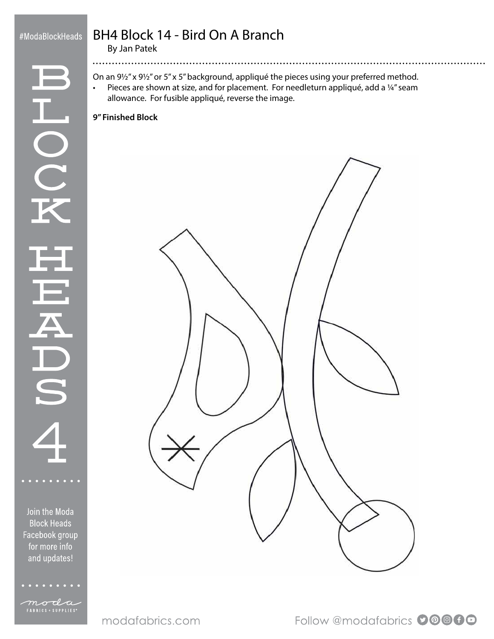### #ModaBlockHeads

L<br>O<br>C

# BH4 Block 14 - Bird On A Branch

By Jan Patek

...............

On an 9½" x 9½" or 5" x 5" background, appliqué the pieces using your preferred method. • Pieces are shown at size, and for placement. For needleturn appliqué, add a ¼" seam allowance. For fusible appliqué, reverse the image.

#### **9" Finished Block**



Follow @modafabrics 00000